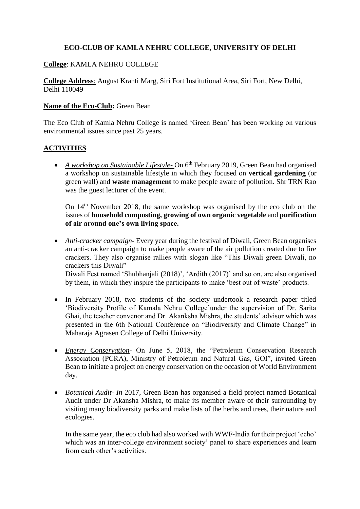# **ECO-CLUB OF KAMLA NEHRU COLLEGE, UNIVERSITY OF DELHI**

## **College**: KAMLA NEHRU COLLEGE

**College Address**: August Kranti Marg, Siri Fort Institutional Area, Siri Fort, New Delhi, Delhi 110049

### **Name of the Eco-Club:** Green Bean

The Eco Club of Kamla Nehru College is named 'Green Bean' has been working on various environmental issues since past 25 years.

# **ACTIVITIES**

• A workshop on Sustainable Lifestyle-On 6<sup>th</sup> February 2019, Green Bean had organised a workshop on sustainable lifestyle in which they focused on **vertical gardening** (or green wall) and **waste management** to make people aware of pollution. Shr TRN Rao was the guest lecturer of the event.

On 14th November 2018, the same workshop was organised by the eco club on the issues of **household composting, growing of own organic vegetable** and **purification of air around one's own living space.** 

- *Anti-cracker campaign-* Every year during the festival of Diwali, Green Bean organises an anti-cracker campaign to make people aware of the air pollution created due to fire crackers. They also organise rallies with slogan like "This Diwali green Diwali, no crackers this Diwali" Diwali Fest named 'Shubhanjali (2018)', 'Ardith (2017)' and so on, are also organised by them, in which they inspire the participants to make 'best out of waste' products.
- In February 2018, two students of the society undertook a research paper titled 'Biodiversity Profile of Kamala Nehru College'under the supervision of Dr. Sarita Ghai, the teacher convenor and Dr. Akanksha Mishra, the students' advisor which was presented in the 6th National Conference on "Biodiversity and Climate Change" in Maharaja Agrasen College of Delhi University.
- *Energy Conservation* On June 5, 2018, the "Petroleum Conservation Research Association (PCRA), Ministry of Petroleum and Natural Gas, GOI", invited Green Bean to initiate a project on energy conservation on the occasion of World Environment day.
- *Botanical Audit- In* 2017, Green Bean has organised a field project named Botanical Audit under Dr Akansha Mishra, to make its member aware of their surrounding by visiting many biodiversity parks and make lists of the herbs and trees, their nature and ecologies.

In the same year, the eco club had also worked with WWF-India for their project 'echo' which was an inter-college environment society' panel to share experiences and learn from each other's activities.